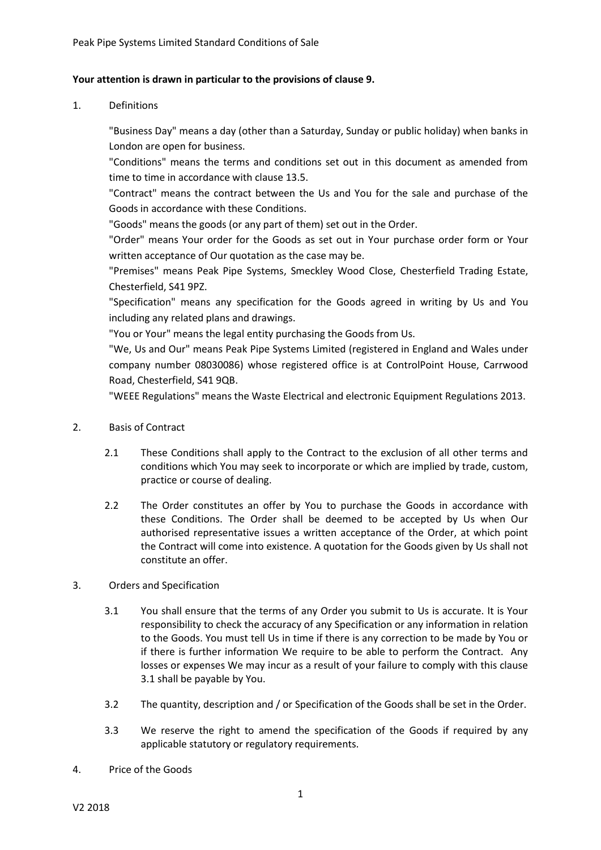## **Your attention is drawn in particular to the provisions of clause 9.**

1. Definitions

"Business Day" means a day (other than a Saturday, Sunday or public holiday) when banks in London are open for business.

"Conditions" means the terms and conditions set out in this document as amended from time to time in accordance with clause [13.5.](#page-8-0)

"Contract" means the contract between the Us and You for the sale and purchase of the Goods in accordance with these Conditions.

"Goods" means the goods (or any part of them) set out in the Order.

"Order" means Your order for the Goods as set out in Your purchase order form or Your written acceptance of Our quotation as the case may be.

"Premises" means Peak Pipe Systems, Smeckley Wood Close, Chesterfield Trading Estate, Chesterfield, S41 9PZ.

"Specification" means any specification for the Goods agreed in writing by Us and You including any related plans and drawings.

"You or Your" means the legal entity purchasing the Goods from Us.

"We, Us and Our" means Peak Pipe Systems Limited (registered in England and Wales under company number 08030086) whose registered office is at ControlPoint House, Carrwood Road, Chesterfield, S41 9QB.

"WEEE Regulations" means the Waste Electrical and electronic Equipment Regulations 2013.

- 2. Basis of Contract
	- 2.1 These Conditions shall apply to the Contract to the exclusion of all other terms and conditions which You may seek to incorporate or which are implied by trade, custom, practice or course of dealing.
	- 2.2 The Order constitutes an offer by You to purchase the Goods in accordance with these Conditions. The Order shall be deemed to be accepted by Us when Our authorised representative issues a written acceptance of the Order, at which point the Contract will come into existence. A quotation for the Goods given by Us shall not constitute an offer.
- <span id="page-0-0"></span>3. Orders and Specification
	- 3.1 You shall ensure that the terms of any Order you submit to Us is accurate. It is Your responsibility to check the accuracy of any Specification or any information in relation to the Goods. You must tell Us in time if there is any correction to be made by You or if there is further information We require to be able to perform the Contract. Any losses or expenses We may incur as a result of your failure to comply with this clause [3.1](#page-0-0) shall be payable by You.
	- 3.2 The quantity, description and / or Specification of the Goods shall be set in the Order.
	- 3.3 We reserve the right to amend the specification of the Goods if required by any applicable statutory or regulatory requirements.
- 4. Price of the Goods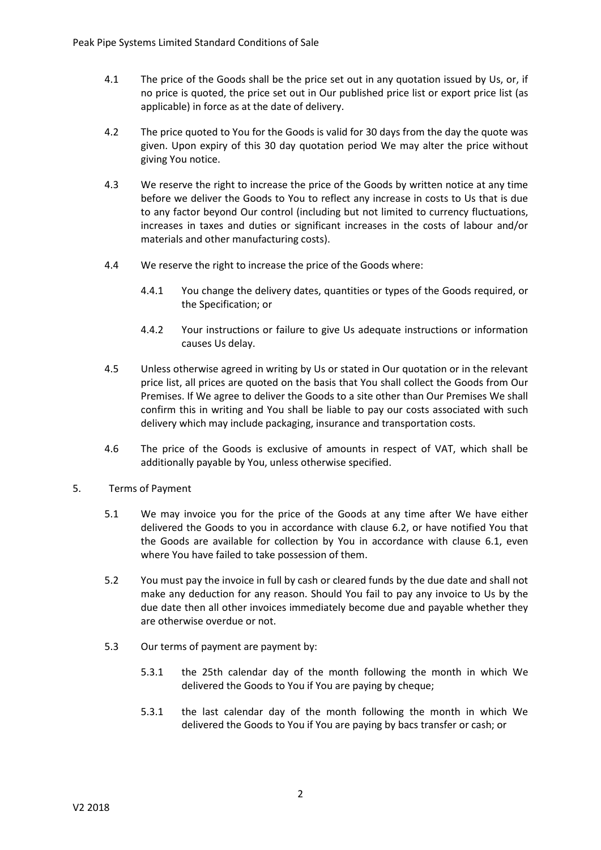- 4.1 The price of the Goods shall be the price set out in any quotation issued by Us, or, if no price is quoted, the price set out in Our published price list or export price list (as applicable) in force as at the date of delivery.
- 4.2 The price quoted to You for the Goods is valid for 30 days from the day the quote was given. Upon expiry of this 30 day quotation period We may alter the price without giving You notice.
- 4.3 We reserve the right to increase the price of the Goods by written notice at any time before we deliver the Goods to You to reflect any increase in costs to Us that is due to any factor beyond Our control (including but not limited to currency fluctuations, increases in taxes and duties or significant increases in the costs of labour and/or materials and other manufacturing costs).
- 4.4 We reserve the right to increase the price of the Goods where:
	- 4.4.1 You change the delivery dates, quantities or types of the Goods required, or the Specification; or
	- 4.4.2 Your instructions or failure to give Us adequate instructions or information causes Us delay.
- 4.5 Unless otherwise agreed in writing by Us or stated in Our quotation or in the relevant price list, all prices are quoted on the basis that You shall collect the Goods from Our Premises. If We agree to deliver the Goods to a site other than Our Premises We shall confirm this in writing and You shall be liable to pay our costs associated with such delivery which may include packaging, insurance and transportation costs.
- 4.6 The price of the Goods is exclusive of amounts in respect of VAT, which shall be additionally payable by You, unless otherwise specified.
- <span id="page-1-0"></span>5. Terms of Payment
	- 5.1 We may invoice you for the price of the Goods at any time after We have either delivered the Goods to you in accordance with clause [6.2,](#page-2-0) or have notified You that the Goods are available for collection by You in accordance with clause [6.1,](#page-2-1) even where You have failed to take possession of them.
	- 5.2 You must pay the invoice in full by cash or cleared funds by the due date and shall not make any deduction for any reason. Should You fail to pay any invoice to Us by the due date then all other invoices immediately become due and payable whether they are otherwise overdue or not.
	- 5.3 Our terms of payment are payment by:
		- 5.3.1 the 25th calendar day of the month following the month in which We delivered the Goods to You if You are paying by cheque;
		- 5.3.1 the last calendar day of the month following the month in which We delivered the Goods to You if You are paying by bacs transfer or cash; or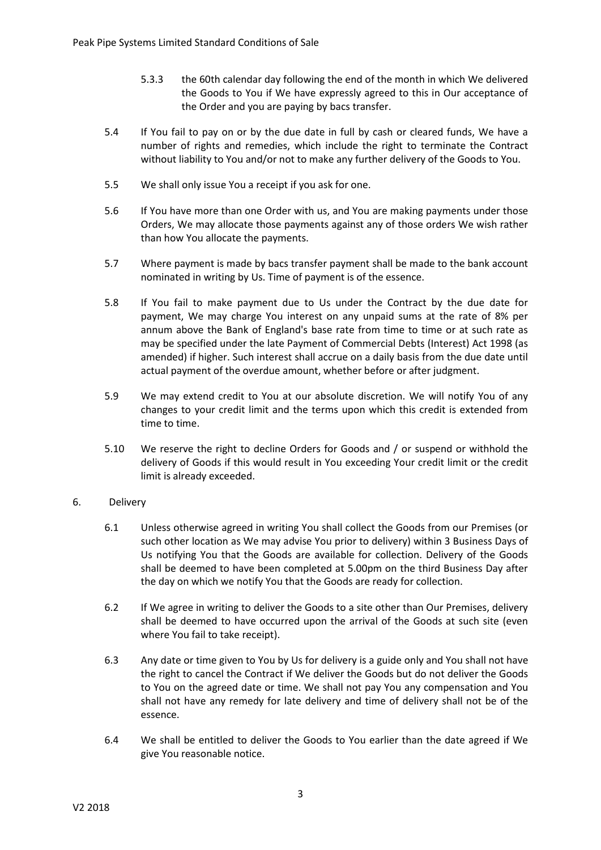- 5.3.3 the 60th calendar day following the end of the month in which We delivered the Goods to You if We have expressly agreed to this in Our acceptance of the Order and you are paying by bacs transfer.
- 5.4 If You fail to pay on or by the due date in full by cash or cleared funds, We have a number of rights and remedies, which include the right to terminate the Contract without liability to You and/or not to make any further delivery of the Goods to You.
- 5.5 We shall only issue You a receipt if you ask for one.
- 5.6 If You have more than one Order with us, and You are making payments under those Orders, We may allocate those payments against any of those orders We wish rather than how You allocate the payments.
- 5.7 Where payment is made by bacs transfer payment shall be made to the bank account nominated in writing by Us. Time of payment is of the essence.
- 5.8 If You fail to make payment due to Us under the Contract by the due date for payment, We may charge You interest on any unpaid sums at the rate of 8% per annum above the Bank of England's base rate from time to time or at such rate as may be specified under the late Payment of Commercial Debts (Interest) Act 1998 (as amended) if higher. Such interest shall accrue on a daily basis from the due date until actual payment of the overdue amount, whether before or after judgment.
- 5.9 We may extend credit to You at our absolute discretion. We will notify You of any changes to your credit limit and the terms upon which this credit is extended from time to time.
- 5.10 We reserve the right to decline Orders for Goods and / or suspend or withhold the delivery of Goods if this would result in You exceeding Your credit limit or the credit limit is already exceeded.

# <span id="page-2-1"></span>6. Delivery

- 6.1 Unless otherwise agreed in writing You shall collect the Goods from our Premises (or such other location as We may advise You prior to delivery) within 3 Business Days of Us notifying You that the Goods are available for collection. Delivery of the Goods shall be deemed to have been completed at 5.00pm on the third Business Day after the day on which we notify You that the Goods are ready for collection.
- <span id="page-2-0"></span>6.2 If We agree in writing to deliver the Goods to a site other than Our Premises, delivery shall be deemed to have occurred upon the arrival of the Goods at such site (even where You fail to take receipt).
- 6.3 Any date or time given to You by Us for delivery is a guide only and You shall not have the right to cancel the Contract if We deliver the Goods but do not deliver the Goods to You on the agreed date or time. We shall not pay You any compensation and You shall not have any remedy for late delivery and time of delivery shall not be of the essence.
- 6.4 We shall be entitled to deliver the Goods to You earlier than the date agreed if We give You reasonable notice.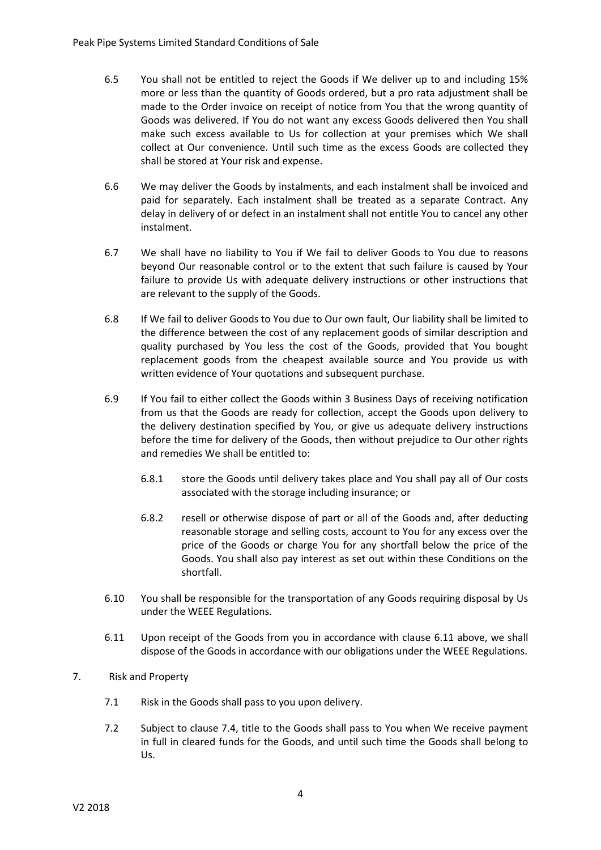- 6.5 You shall not be entitled to reject the Goods if We deliver up to and including 15% more or less than the quantity of Goods ordered, but a pro rata adjustment shall be made to the Order invoice on receipt of notice from You that the wrong quantity of Goods was delivered. If You do not want any excess Goods delivered then You shall make such excess available to Us for collection at your premises which We shall collect at Our convenience. Until such time as the excess Goods are collected they shall be stored at Your risk and expense.
- 6.6 We may deliver the Goods by instalments, and each instalment shall be invoiced and paid for separately. Each instalment shall be treated as a separate Contract. Any delay in delivery of or defect in an instalment shall not entitle You to cancel any other instalment.
- 6.7 We shall have no liability to You if We fail to deliver Goods to You due to reasons beyond Our reasonable control or to the extent that such failure is caused by Your failure to provide Us with adequate delivery instructions or other instructions that are relevant to the supply of the Goods.
- 6.8 If We fail to deliver Goods to You due to Our own fault, Our liability shall be limited to the difference between the cost of any replacement goods of similar description and quality purchased by You less the cost of the Goods, provided that You bought replacement goods from the cheapest available source and You provide us with written evidence of Your quotations and subsequent purchase.
- 6.9 If You fail to either collect the Goods within 3 Business Days of receiving notification from us that the Goods are ready for collection, accept the Goods upon delivery to the delivery destination specified by You, or give us adequate delivery instructions before the time for delivery of the Goods, then without prejudice to Our other rights and remedies We shall be entitled to:
	- 6.8.1 store the Goods until delivery takes place and You shall pay all of Our costs associated with the storage including insurance; or
	- 6.8.2 resell or otherwise dispose of part or all of the Goods and, after deducting reasonable storage and selling costs, account to You for any excess over the price of the Goods or charge You for any shortfall below the price of the Goods. You shall also pay interest as set out within these Conditions on the shortfall.
- 6.10 You shall be responsible for the transportation of any Goods requiring disposal by Us under the WEEE Regulations.
- <span id="page-3-0"></span>6.11 Upon receipt of the Goods from you in accordance with clause [6.11](#page-3-0) above, we shall dispose of the Goods in accordance with our obligations under the WEEE Regulations.
- 7. Risk and Property
	- 7.1 Risk in the Goods shall pass to you upon delivery.
	- 7.2 Subject to clause [7.4,](#page-4-0) title to the Goods shall pass to You when We receive payment in full in cleared funds for the Goods, and until such time the Goods shall belong to Us.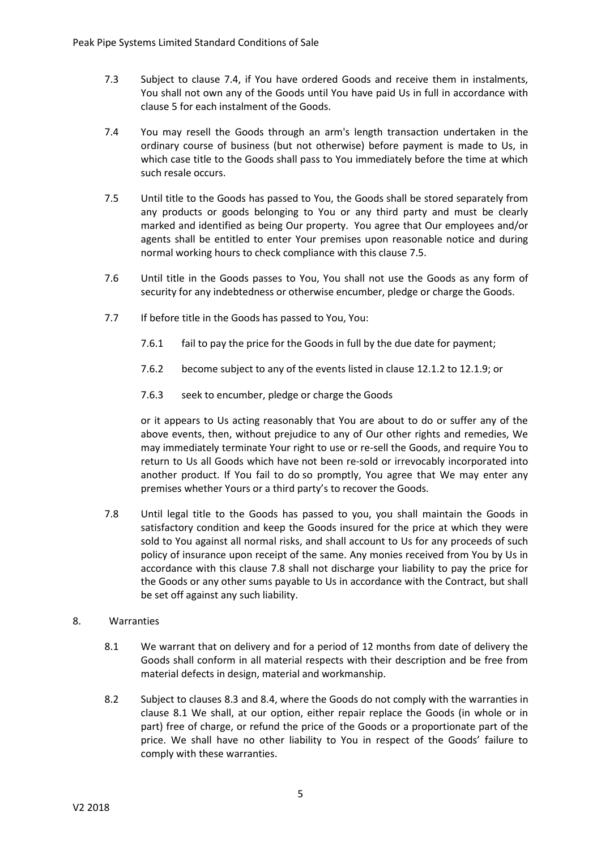- 7.3 Subject to clause [7.4,](#page-4-0) if You have ordered Goods and receive them in instalments, You shall not own any of the Goods until You have paid Us in full in accordance with clause [5](#page-1-0) for each instalment of the Goods.
- <span id="page-4-0"></span>7.4 You may resell the Goods through an arm's length transaction undertaken in the ordinary course of business (but not otherwise) before payment is made to Us, in which case title to the Goods shall pass to You immediately before the time at which such resale occurs.
- <span id="page-4-1"></span>7.5 Until title to the Goods has passed to You, the Goods shall be stored separately from any products or goods belonging to You or any third party and must be clearly marked and identified as being Our property. You agree that Our employees and/or agents shall be entitled to enter Your premises upon reasonable notice and during normal working hours to check compliance with this clause [7.5.](#page-4-1)
- 7.6 Until title in the Goods passes to You, You shall not use the Goods as any form of security for any indebtedness or otherwise encumber, pledge or charge the Goods.
- 7.7 If before title in the Goods has passed to You, You:
	- 7.6.1 fail to pay the price for the Goods in full by the due date for payment;
	- 7.6.2 become subject to any of the events listed in clause [12.1.2](#page-7-0) to [12.1.9;](#page-7-1) or
	- 7.6.3 seek to encumber, pledge or charge the Goods

or it appears to Us acting reasonably that You are about to do or suffer any of the above events, then, without prejudice to any of Our other rights and remedies, We may immediately terminate Your right to use or re-sell the Goods, and require You to return to Us all Goods which have not been re-sold or irrevocably incorporated into another product. If You fail to do so promptly, You agree that We may enter any premises whether Yours or a third party's to recover the Goods.

<span id="page-4-2"></span>7.8 Until legal title to the Goods has passed to you, you shall maintain the Goods in satisfactory condition and keep the Goods insured for the price at which they were sold to You against all normal risks, and shall account to Us for any proceeds of such policy of insurance upon receipt of the same. Any monies received from You by Us in accordance with this clause [7.8](#page-4-2) shall not discharge your liability to pay the price for the Goods or any other sums payable to Us in accordance with the Contract, but shall be set off against any such liability.

## <span id="page-4-3"></span>8. Warranties

- 8.1 We warrant that on delivery and for a period of 12 months from date of delivery the Goods shall conform in all material respects with their description and be free from material defects in design, material and workmanship.
- 8.2 Subject to clauses [8.3](#page-5-0) and [8.4,](#page-5-1) where the Goods do not comply with the warranties in clause [8.1](#page-4-3) We shall, at our option, either repair replace the Goods (in whole or in part) free of charge, or refund the price of the Goods or a proportionate part of the price. We shall have no other liability to You in respect of the Goods' failure to comply with these warranties.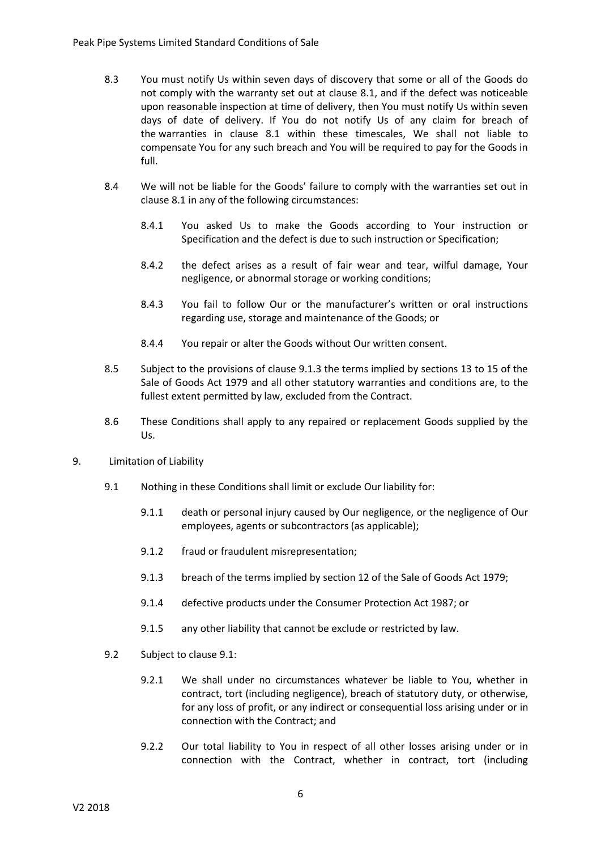- <span id="page-5-0"></span>8.3 You must notify Us within seven days of discovery that some or all of the Goods do not comply with the warranty set out at clause [8.1,](#page-4-3) and if the defect was noticeable upon reasonable inspection at time of delivery, then You must notify Us within seven days of date of delivery. If You do not notify Us of any claim for breach of the warranties in clause [8.1](#page-4-3) within these timescales, We shall not liable to compensate You for any such breach and You will be required to pay for the Goods in full.
- <span id="page-5-1"></span>8.4 We will not be liable for the Goods' failure to comply with the warranties set out in clause [8.1](#page-4-3) in any of the following circumstances:
	- 8.4.1 You asked Us to make the Goods according to Your instruction or Specification and the defect is due to such instruction or Specification;
	- 8.4.2 the defect arises as a result of fair wear and tear, wilful damage, Your negligence, or abnormal storage or working conditions;
	- 8.4.3 You fail to follow Our or the manufacturer's written or oral instructions regarding use, storage and maintenance of the Goods; or
	- 8.4.4 You repair or alter the Goods without Our written consent.
- 8.5 Subject to the provisions of clause 9.1.3 the terms implied by sections 13 to 15 of the Sale of Goods Act 1979 and all other statutory warranties and conditions are, to the fullest extent permitted by law, excluded from the Contract.
- 8.6 These Conditions shall apply to any repaired or replacement Goods supplied by the Us.
- <span id="page-5-2"></span>9. Limitation of Liability
	- 9.1 Nothing in these Conditions shall limit or exclude Our liability for:
		- 9.1.1 death or personal injury caused by Our negligence, or the negligence of Our employees, agents or subcontractors (as applicable);
		- 9.1.2 fraud or fraudulent misrepresentation;
		- 9.1.3 breach of the terms implied by section 12 of the Sale of Goods Act 1979;
		- 9.1.4 defective products under the Consumer Protection Act 1987; or
		- 9.1.5 any other liability that cannot be exclude or restricted by law.
	- 9.2 Subject to claus[e 9.1:](#page-5-2)
		- 9.2.1 We shall under no circumstances whatever be liable to You, whether in contract, tort (including negligence), breach of statutory duty, or otherwise, for any loss of profit, or any indirect or consequential loss arising under or in connection with the Contract; and
		- 9.2.2 Our total liability to You in respect of all other losses arising under or in connection with the Contract, whether in contract, tort (including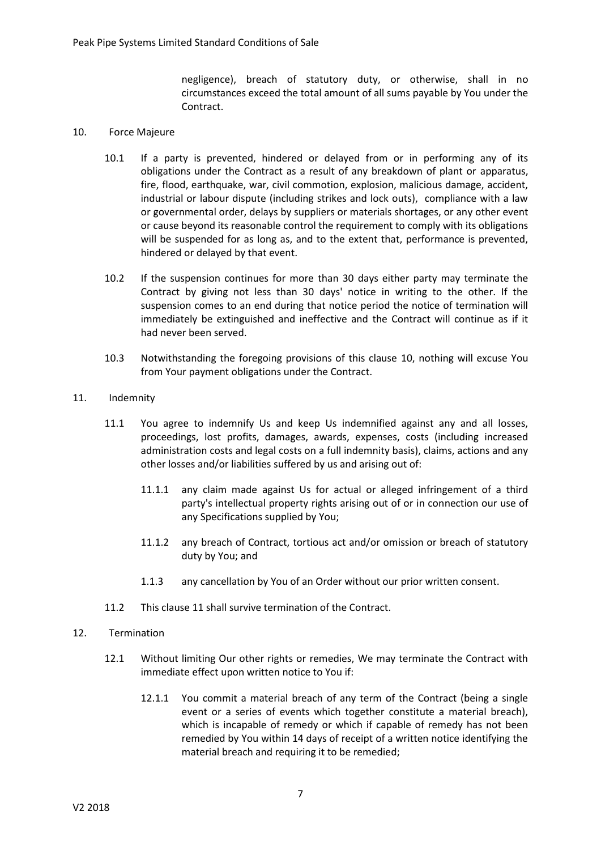negligence), breach of statutory duty, or otherwise, shall in no circumstances exceed the total amount of all sums payable by You under the Contract.

### <span id="page-6-0"></span>10. Force Majeure

- 10.1 If a party is prevented, hindered or delayed from or in performing any of its obligations under the Contract as a result of any breakdown of plant or apparatus, fire, flood, earthquake, war, civil commotion, explosion, malicious damage, accident, industrial or labour dispute (including strikes and lock outs), compliance with a law or governmental order, delays by suppliers or materials shortages, or any other event or cause beyond its reasonable control the requirement to comply with its obligations will be suspended for as long as, and to the extent that, performance is prevented, hindered or delayed by that event.
- 10.2 If the suspension continues for more than 30 days either party may terminate the Contract by giving not less than 30 days' notice in writing to the other. If the suspension comes to an end during that notice period the notice of termination will immediately be extinguished and ineffective and the Contract will continue as if it had never been served.
- 10.3 Notwithstanding the foregoing provisions of this clause [10,](#page-6-0) nothing will excuse You from Your payment obligations under the Contract.
- <span id="page-6-1"></span>11. Indemnity
	- 11.1 You agree to indemnify Us and keep Us indemnified against any and all losses, proceedings, lost profits, damages, awards, expenses, costs (including increased administration costs and legal costs on a full indemnity basis), claims, actions and any other losses and/or liabilities suffered by us and arising out of:
		- 11.1.1 any claim made against Us for actual or alleged infringement of a third party's intellectual property rights arising out of or in connection our use of any Specifications supplied by You;
		- 11.1.2 any breach of Contract, tortious act and/or omission or breach of statutory duty by You; and
		- 1.1.3 any cancellation by You of an Order without our prior written consent.
	- 11.2 This claus[e 11](#page-6-1) shall survive termination of the Contract.
- <span id="page-6-2"></span>12. Termination
	- 12.1 Without limiting Our other rights or remedies, We may terminate the Contract with immediate effect upon written notice to You if:
		- 12.1.1 You commit a material breach of any term of the Contract (being a single event or a series of events which together constitute a material breach), which is incapable of remedy or which if capable of remedy has not been remedied by You within 14 days of receipt of a written notice identifying the material breach and requiring it to be remedied;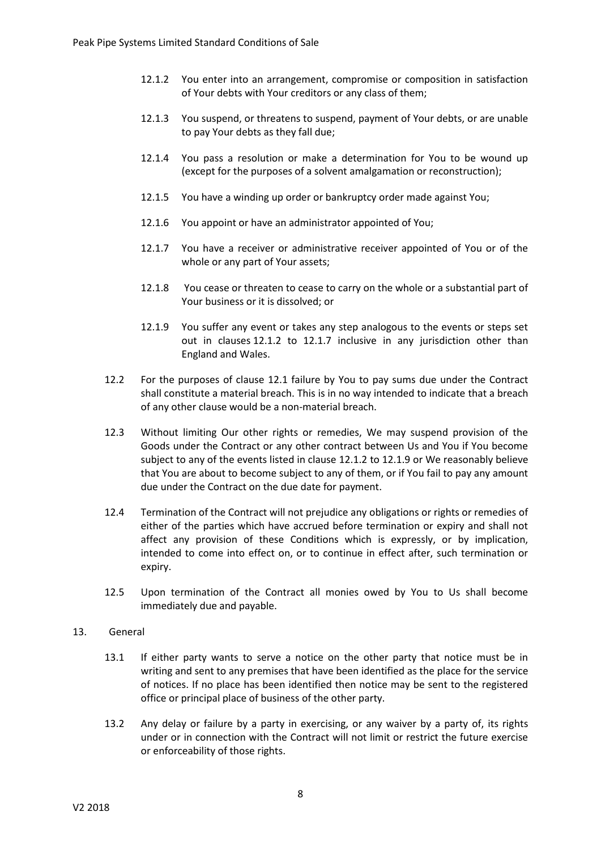- <span id="page-7-0"></span>12.1.2 You enter into an arrangement, compromise or composition in satisfaction of Your debts with Your creditors or any class of them;
- 12.1.3 You suspend, or threatens to suspend, payment of Your debts, or are unable to pay Your debts as they fall due;
- 12.1.4 You pass a resolution or make a determination for You to be wound up (except for the purposes of a solvent amalgamation or reconstruction);
- 12.1.5 You have a winding up order or bankruptcy order made against You;
- 12.1.6 You appoint or have an administrator appointed of You;
- <span id="page-7-2"></span>12.1.7 You have a receiver or administrative receiver appointed of You or of the whole or any part of Your assets;
- 12.1.8 You cease or threaten to cease to carry on the whole or a substantial part of Your business or it is dissolved; or
- 12.1.9 You suffer any event or takes any step analogous to the events or steps set out in clauses [12.1.2](#page-7-0) to [12.1.7](#page-7-2) inclusive in any jurisdiction other than England and Wales.
- <span id="page-7-1"></span>12.2 For the purposes of clause [12.1](#page-6-2) failure by You to pay sums due under the Contract shall constitute a material breach. This is in no way intended to indicate that a breach of any other clause would be a non-material breach.
- 12.3 Without limiting Our other rights or remedies, We may suspend provision of the Goods under the Contract or any other contract between Us and You if You become subject to any of the events listed in clause [12.1.2](#page-7-0) t[o 12.1.9](#page-7-1) or We reasonably believe that You are about to become subject to any of them, or if You fail to pay any amount due under the Contract on the due date for payment.
- 12.4 Termination of the Contract will not prejudice any obligations or rights or remedies of either of the parties which have accrued before termination or expiry and shall not affect any provision of these Conditions which is expressly, or by implication, intended to come into effect on, or to continue in effect after, such termination or expiry.
- 12.5 Upon termination of the Contract all monies owed by You to Us shall become immediately due and payable.

## 13. General

- 13.1 If either party wants to serve a notice on the other party that notice must be in writing and sent to any premises that have been identified as the place for the service of notices. If no place has been identified then notice may be sent to the registered office or principal place of business of the other party.
- 13.2 Any delay or failure by a party in exercising, or any waiver by a party of, its rights under or in connection with the Contract will not limit or restrict the future exercise or enforceability of those rights.